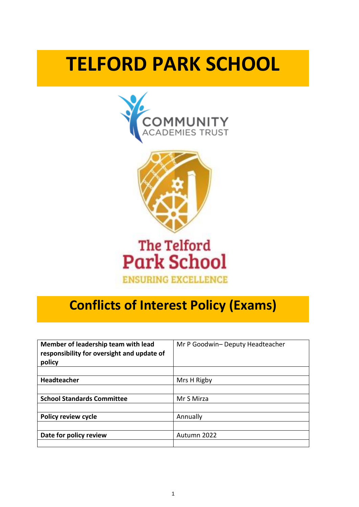# **TELFORD PARK SCHOOL**





# **The Telford Park School ENSURING EXCELLENCE**

# **Conflicts of Interest Policy (Exams)**

| Member of leadership team with lead<br>responsibility for oversight and update of<br>policy | Mr P Goodwin- Deputy Headteacher |
|---------------------------------------------------------------------------------------------|----------------------------------|
|                                                                                             |                                  |
| <b>Headteacher</b>                                                                          | Mrs H Rigby                      |
|                                                                                             |                                  |
| <b>School Standards Committee</b>                                                           | Mr S Mirza                       |
|                                                                                             |                                  |
| Policy review cycle                                                                         | Annually                         |
|                                                                                             |                                  |
| Date for policy review                                                                      | Autumn 2022                      |
|                                                                                             |                                  |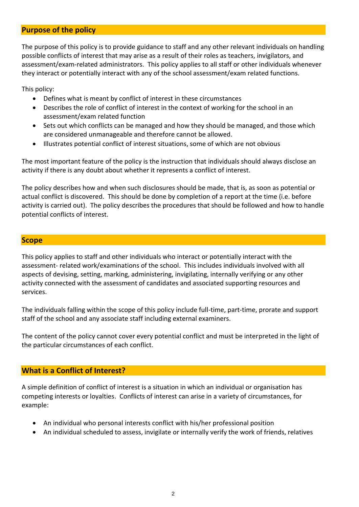### **Purpose of the policy**

The purpose of this policy is to provide guidance to staff and any other relevant individuals on handling possible conflicts of interest that may arise as a result of their roles as teachers, invigilators, and assessment/exam-related administrators. This policy applies to all staff or other individuals whenever they interact or potentially interact with any of the school assessment/exam related functions.

This policy:

- Defines what is meant by conflict of interest in these circumstances
- Describes the role of conflict of interest in the context of working for the school in an assessment/exam related function
- Sets out which conflicts can be managed and how they should be managed, and those which are considered unmanageable and therefore cannot be allowed.
- Illustrates potential conflict of interest situations, some of which are not obvious

The most important feature of the policy is the instruction that individuals should always disclose an activity if there is any doubt about whether it represents a conflict of interest.

The policy describes how and when such disclosures should be made, that is, as soon as potential or actual conflict is discovered. This should be done by completion of a report at the time (i.e. before activity is carried out). The policy describes the procedures that should be followed and how to handle potential conflicts of interest.

#### **Scope**

This policy applies to staff and other individuals who interact or potentially interact with the assessment- related work/examinations of the school. This includes individuals involved with all aspects of devising, setting, marking, administering, invigilating, internally verifying or any other activity connected with the assessment of candidates and associated supporting resources and services.

The individuals falling within the scope of this policy include full-time, part-time, prorate and support staff of the school and any associate staff including external examiners.

The content of the policy cannot cover every potential conflict and must be interpreted in the light of the particular circumstances of each conflict.

#### **What is a Conflict of Interest?**

A simple definition of conflict of interest is a situation in which an individual or organisation has competing interests or loyalties. Conflicts of interest can arise in a variety of circumstances, for example:

- An individual who personal interests conflict with his/her professional position
- An individual scheduled to assess, invigilate or internally verify the work of friends, relatives